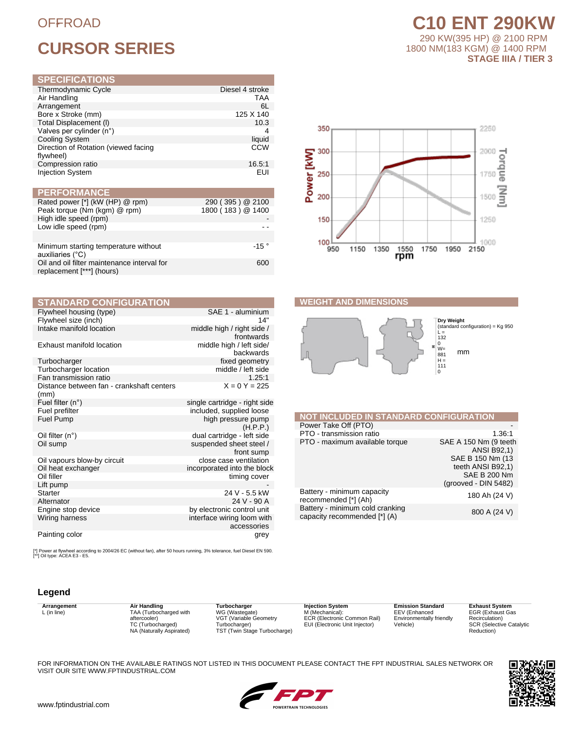## **OFFROAD**

## **CURSOR SERIES**

| Thermodynamic Cycle                               | Diesel 4 stroke |
|---------------------------------------------------|-----------------|
| Air Handling                                      | TAA             |
| Arrangement                                       | 6L              |
| Bore x Stroke (mm)                                | 125 X 140       |
| Total Displacement (I)                            | 10.3            |
| Valves per cylinder (n°)                          | 4               |
| <b>Cooling System</b>                             | liquid          |
| Direction of Rotation (viewed facing<br>flywheel) | <b>CCW</b>      |
| Compression ratio                                 | 16.5:1          |
| <b>Injection System</b>                           | EUI             |

| <b>PERFORMANCE</b>                                                       |                   |
|--------------------------------------------------------------------------|-------------------|
| Rated power [*] (kW (HP) @ rpm)                                          | 290 (395) @ 2100  |
| Peak torque (Nm (kgm) @ rpm)                                             | 1800 (183) @ 1400 |
| High idle speed (rpm)                                                    |                   |
| Low idle speed (rpm)                                                     |                   |
|                                                                          |                   |
| Minimum starting temperature without<br>auxiliaries (°C)                 | $-15°$            |
| Oil and oil filter maintenance interval for<br>replacement [***] (hours) | 600               |

| <b>STANDARD CONFIGURATION</b>                     |                                           |
|---------------------------------------------------|-------------------------------------------|
| Flywheel housing (type)                           | SAE 1 - aluminium                         |
| Flywheel size (inch)                              | 14"                                       |
| Intake manifold location                          | middle high / right side /<br>frontwards  |
| Exhaust manifold location                         | middle high / left side/<br>backwards     |
| Turbocharger                                      | fixed geometry                            |
| Turbocharger location<br>Fan transmission ratio   | middle / left side<br>1.25:1              |
| Distance between fan - crankshaft centers<br>(mm) | $X = 0 Y = 225$                           |
| Fuel filter $(n^{\circ})$                         | single cartridge - right side             |
| Fuel prefilter                                    | included, supplied loose                  |
| Fuel Pump                                         | high pressure pump<br>(H.P.P.)            |
| Oil filter $(n^{\circ})$                          | dual cartridge - left side                |
| Oil sump                                          | suspended sheet steel /<br>front sump     |
| Oil vapours blow-by circuit                       | close case ventilation                    |
| Oil heat exchanger                                | incorporated into the block               |
| Oil filler                                        | timing cover                              |
| Lift pump                                         |                                           |
| <b>Starter</b>                                    | 24 V - 5.5 kW                             |
| Alternator                                        | 24 V - 90 A                               |
| Engine stop device                                | by electronic control unit                |
| Wiring harness                                    | interface wiring loom with<br>accessories |
| Painting color                                    | grey                                      |

[\*] Power at flywheel according to 2004/26 EC (without fan), after 50 hours running, 3% tolerance, fuel Diesel EN 590.<br>[\*\*] Oil type: ACEA E3 - E5.

## Legend

Arrangement  $L$  (in line)

Air Handling<br>TAA (Turbocharged with<br>aftercooler)<br>TC (Turbocharged)<br>NA (Naturally Aspirated)

Turbocharger WG (Wastegate)<br>VGT (Variable Geometry Turbocharger)<br>TST (Twin Stage Turbocharge)

**Injection System** M (Mechanical):<br>ECR (Electronic Common Rail) EUI (Electronic Unit Injector)

**Emission Standard** EEV (Enhanced<br>Environmentally friendly Vehicle)

**Exhaust System** EGR (Exhaust Gas<br>Recirculation) SCR (Selective Catalytic<br>Reduction)

| FOR INFORMATION ON THE AVAILABLE RATINGS NOT LISTED IN THIS DOCUMENT PLEASE CONTACT THE FPT INDUSTRIAL SALES NETWORK OR |  |  |
|-------------------------------------------------------------------------------------------------------------------------|--|--|
| VISIT OUR SITE WWW.FPTINDUSTRIAL.COM                                                                                    |  |  |



**C10 ENT 290KW** 

290 KW(395 HP) @ 2100 RPM

**STAGE IIIA / TIER 3** 

1800 NM(183 KGM) @ 1400 RPM

## **WEIGHT AND DIMENSIONS**



| <b>NOT INCLUDED IN STANDARD CONFIGURATION</b>                   |                                                                                                                                        |
|-----------------------------------------------------------------|----------------------------------------------------------------------------------------------------------------------------------------|
| Power Take Off (PTO)                                            |                                                                                                                                        |
| PTO - transmission ratio                                        | 1.36:1                                                                                                                                 |
| PTO - maximum available torque                                  | SAE A 150 Nm (9 teeth<br><b>ANSI B92,1)</b><br>SAE B 150 Nm (13)<br>teeth ANSI B92,1)<br><b>SAE B 200 Nm</b><br>$(grooved - DIN 5482)$ |
| Battery - minimum capacity<br>recommended [*] (Ah)              | 180 Ah (24 V)                                                                                                                          |
| Battery - minimum cold cranking<br>capacity recommended [*] (A) | 800 A (24 V)                                                                                                                           |
|                                                                 |                                                                                                                                        |